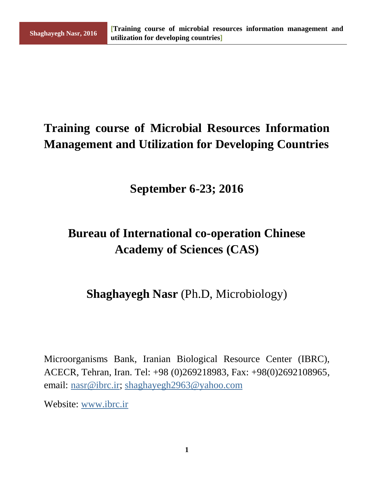# **Training course of Microbial Resources Information Management and Utilization for Developing Countries**

#### **September 6-23; 2016**

## **Bureau of International co-operation Chinese Academy of Sciences (CAS)**

#### **Shaghayegh Nasr** (Ph.D, Microbiology)

Microorganisms Bank, Iranian Biological Resource Center (IBRC), ACECR, Tehran, Iran. Tel: +98 (0)269218983, Fax: +98(0)2692108965, email: [nasr@ibrc.ir;](mailto:nasr@ibrc.ir) [shaghayegh2963@yahoo.com](mailto:shaghayegh2963@yahoo.com)

Website: [www.ibrc.ir](http://www.ibrc.ir/)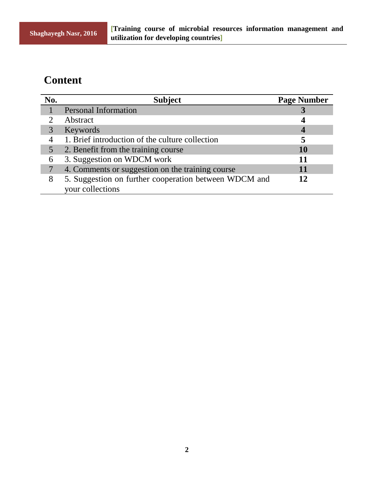#### **Content**

| No. | <b>Subject</b>                                        | <b>Page Number</b> |
|-----|-------------------------------------------------------|--------------------|
|     | <b>Personal Information</b>                           |                    |
|     | Abstract                                              |                    |
|     | Keywords                                              |                    |
|     | 1. Brief introduction of the culture collection       |                    |
|     | 2. Benefit from the training course                   | 10                 |
| 6   | 3. Suggestion on WDCM work                            | 11                 |
|     | 4. Comments or suggestion on the training course      | 11                 |
| 8   | 5. Suggestion on further cooperation between WDCM and | 12                 |
|     | your collections                                      |                    |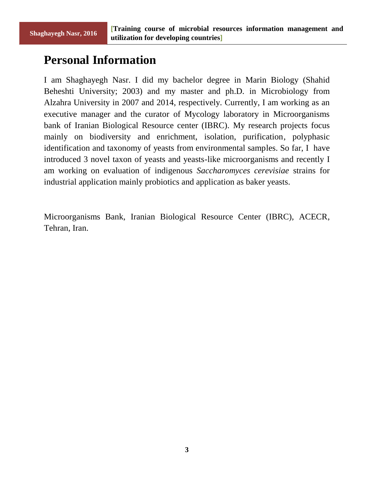### **Personal Information**

I am Shaghayegh Nasr. I did my bachelor degree in Marin Biology (Shahid Beheshti University; 2003) and my master and ph.D. in Microbiology from Alzahra University in 2007 and 2014, respectively. Currently, I am working as an executive manager and the curator of Mycology laboratory in Microorganisms bank of Iranian Biological Resource center (IBRC). My research projects focus mainly on biodiversity and enrichment, isolation, purification, polyphasic identification and taxonomy of yeasts from environmental samples. So far, I have introduced 3 novel taxon of yeasts and yeasts-like microorganisms and recently I am working on evaluation of indigenous *Saccharomyces cerevisiae* strains for industrial application mainly probiotics and application as baker yeasts.

Microorganisms Bank, Iranian Biological Resource Center (IBRC), ACECR, Tehran, Iran.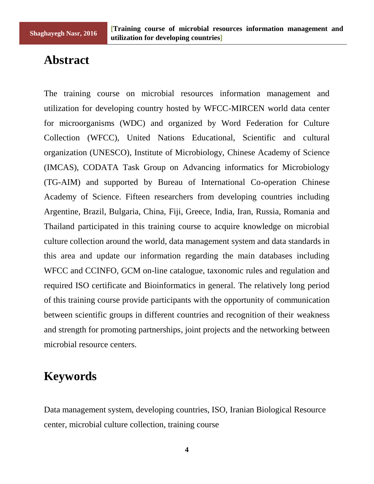#### **Abstract**

The training course on microbial resources information management and utilization for developing country hosted by WFCC-MIRCEN world data center for microorganisms (WDC) and organized by Word Federation for Culture Collection (WFCC), United Nations Educational, Scientific and cultural organization (UNESCO), Institute of Microbiology, Chinese Academy of Science (IMCAS), CODATA Task Group on Advancing informatics for Microbiology (TG-AIM) and supported by Bureau of International Co-operation Chinese Academy of Science. Fifteen researchers from developing countries including Argentine, Brazil, Bulgaria, China, Fiji, Greece, India, Iran, Russia, Romania and Thailand participated in this training course to acquire knowledge on microbial culture collection around the world, data management system and data standards in this area and update our information regarding the main databases including WFCC and CCINFO, GCM on-line catalogue, taxonomic rules and regulation and required ISO certificate and Bioinformatics in general. The relatively long period of this training course provide participants with the opportunity of communication between scientific groups in different countries and recognition of their weakness and strength for promoting partnerships, joint projects and the networking between microbial resource centers.

#### **Keywords**

Data management system, developing countries, ISO, Iranian Biological Resource center, microbial culture collection, training course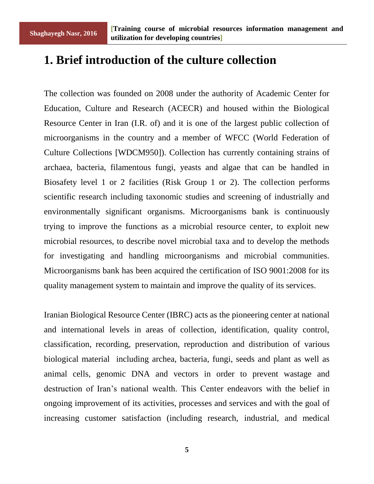#### **1. Brief introduction of the culture collection**

The collection was founded on 2008 under the authority of Academic Center for Education, Culture and Research (ACECR) and housed within the Biological Resource Center in Iran (I.R. of) and it is one of the largest public collection of microorganisms in the country and a member of WFCC (World Federation of Culture Collections [WDCM950]). Collection has currently containing strains of archaea, bacteria, filamentous fungi, yeasts and algae that can be handled in Biosafety level 1 or 2 facilities (Risk Group 1 or 2). The collection performs scientific research including taxonomic studies and screening of industrially and environmentally significant organisms. Microorganisms bank is continuously trying to improve the functions as a microbial resource center, to exploit new microbial resources, to describe novel microbial taxa and to develop the methods for investigating and handling microorganisms and microbial communities. Microorganisms bank has been acquired the certification of ISO 9001:2008 for its quality management system to maintain and improve the quality of its services.

Iranian Biological Resource Center (IBRC) acts as the pioneering center at national and international levels in areas of collection, identification, quality control, classification, recording, preservation, reproduction and distribution of various biological material including archea, bacteria, fungi, seeds and plant as well as animal cells, genomic DNA and vectors in order to prevent wastage and destruction of Iran's national wealth. This Center endeavors with the belief in ongoing improvement of its activities, processes and services and with the goal of increasing customer satisfaction (including research, industrial, and medical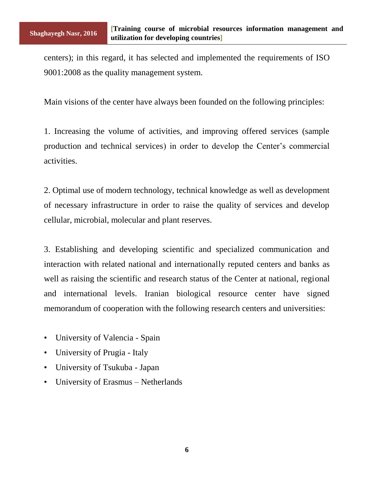centers); in this regard, it has selected and implemented the requirements of ISO 9001:2008 as the quality management system.

Main visions of the center have always been founded on the following principles:

1. Increasing the volume of activities, and improving offered services (sample production and technical services) in order to develop the Center's commercial activities.

2. Optimal use of modern technology, technical knowledge as well as development of necessary infrastructure in order to raise the quality of services and develop cellular, microbial, molecular and plant reserves.

3. Establishing and developing scientific and specialized communication and interaction with related national and internationally reputed centers and banks as well as raising the scientific and research status of the Center at national, regional and international levels. Iranian biological resource center have signed memorandum of cooperation with the following research centers and universities:

- University of Valencia Spain
- University of Prugia Italy
- University of Tsukuba Japan
- University of Erasmus Netherlands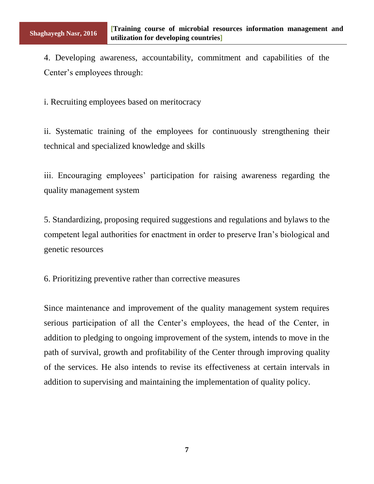4. Developing awareness, accountability, commitment and capabilities of the Center's employees through:

i. Recruiting employees based on meritocracy

ii. Systematic training of the employees for continuously strengthening their technical and specialized knowledge and skills

iii. Encouraging employees' participation for raising awareness regarding the quality management system

5. Standardizing, proposing required suggestions and regulations and bylaws to the competent legal authorities for enactment in order to preserve Iran's biological and genetic resources

6. Prioritizing preventive rather than corrective measures

Since maintenance and improvement of the quality management system requires serious participation of all the Center's employees, the head of the Center, in addition to pledging to ongoing improvement of the system, intends to move in the path of survival, growth and profitability of the Center through improving quality of the services. He also intends to revise its effectiveness at certain intervals in addition to supervising and maintaining the implementation of quality policy.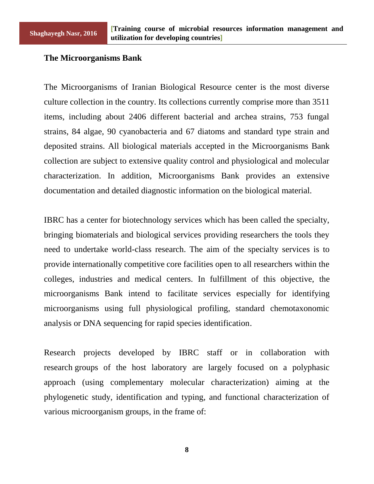#### **The Microorganisms Bank**

The Microorganisms of Iranian Biological Resource center is the most diverse culture collection in the country. Its collections currently comprise more than 3511 items, including about 2406 different bacterial and archea strains, 753 fungal strains, 84 algae, 90 cyanobacteria and 67 diatoms and standard type strain and deposited strains. All biological materials accepted in the Microorganisms Bank collection are subject to extensive quality control and physiological and molecular characterization. In addition, Microorganisms Bank provides an extensive documentation and detailed diagnostic information on the biological material.

IBRC has a center for biotechnology services which has been called the specialty, bringing biomaterials and biological services providing researchers the tools they need to undertake world-class research. The aim of the specialty services is to provide internationally competitive core facilities open to all researchers within the colleges, industries and medical centers. In fulfillment of this objective, the microorganisms Bank intend to facilitate services especially for identifying microorganisms using full physiological profiling, standard chemotaxonomic analysis or DNA sequencing for rapid species identification.

Research projects developed by IBRC staff or in collaboration with research groups of the host laboratory are largely focused on a polyphasic approach (using complementary molecular characterization) aiming at the phylogenetic study, identification and typing, and functional characterization of various microorganism groups, in the frame of:

**8**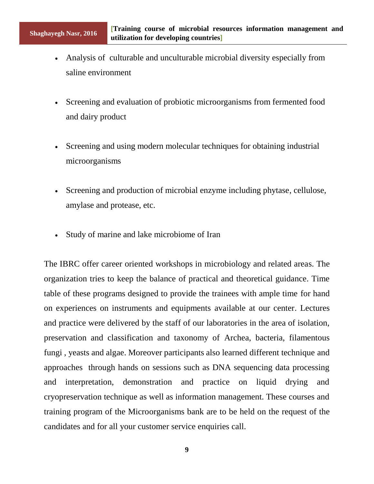- Analysis of culturable and unculturable microbial diversity especially from saline environment
- Screening and evaluation of probiotic microorganisms from fermented food and dairy product
- Screening and using modern molecular techniques for obtaining industrial microorganisms
- Screening and production of microbial enzyme including phytase, cellulose, amylase and protease, etc.
- Study of marine and lake microbiome of Iran

The IBRC offer career oriented workshops in microbiology and related areas. The organization tries to keep the balance of practical and theoretical guidance. Time table of these programs designed to provide the trainees with ample time for hand on experiences on instruments and equipments available at our center. Lectures and practice were delivered by the staff of our laboratories in the area of isolation, preservation and classification and taxonomy of Archea, bacteria, filamentous fungi , yeasts and algae. Moreover participants also learned different technique and approaches through hands on sessions such as DNA sequencing data processing and interpretation, demonstration and practice on liquid drying and cryopreservation technique as well as information management. These courses and training program of the Microorganisms bank are to be held on the request of the candidates and for all your customer service enquiries call.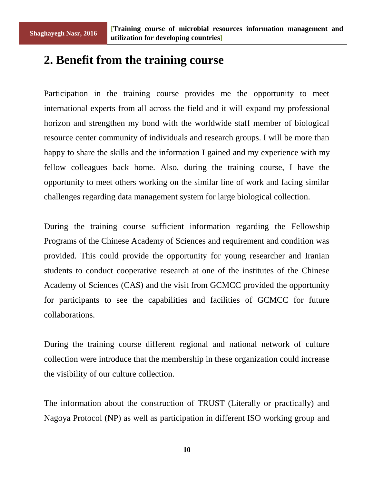#### **2. Benefit from the training course**

Participation in the training course provides me the opportunity to meet international experts from all across the field and it will expand my professional horizon and strengthen my bond with the worldwide staff member of biological resource center community of individuals and research groups. I will be more than happy to share the skills and the information I gained and my experience with my fellow colleagues back home. Also, during the training course, I have the opportunity to meet others working on the similar line of work and facing similar challenges regarding data management system for large biological collection.

During the training course sufficient information regarding the Fellowship Programs of the Chinese Academy of Sciences and requirement and condition was provided. This could provide the opportunity for young researcher and Iranian students to conduct cooperative research at one of the institutes of the Chinese Academy of Sciences (CAS) and the visit from GCMCC provided the opportunity for participants to see the capabilities and facilities of GCMCC for future collaborations.

During the training course different regional and national network of culture collection were introduce that the membership in these organization could increase the visibility of our culture collection.

The information about the construction of TRUST (Literally or practically) and Nagoya Protocol (NP) as well as participation in different ISO working group and

**10**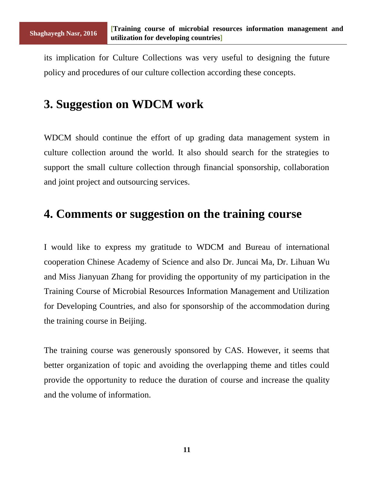its implication for Culture Collections was very useful to designing the future policy and procedures of our culture collection according these concepts.

#### **3. Suggestion on WDCM work**

WDCM should continue the effort of up grading data management system in culture collection around the world. It also should search for the strategies to support the small culture collection through financial sponsorship, collaboration and joint project and outsourcing services.

#### **4. Comments or suggestion on the training course**

I would like to express my gratitude to WDCM and Bureau of international cooperation Chinese Academy of Science and also Dr. Juncai Ma, Dr. Lihuan Wu and Miss Jianyuan Zhang for providing the opportunity of my participation in the Training Course of Microbial Resources Information Management and Utilization for Developing Countries, and also for sponsorship of the accommodation during the training course in Beijing.

The training course was generously sponsored by CAS. However, it seems that better organization of topic and avoiding the overlapping theme and titles could provide the opportunity to reduce the duration of course and increase the quality and the volume of information.